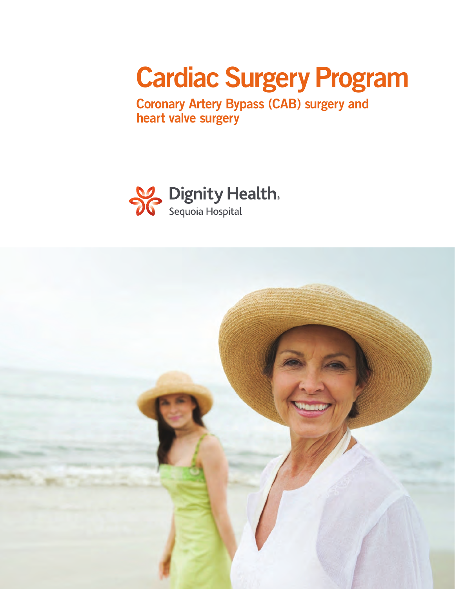# Cardiac Surgery Program

Coronary Artery Bypass (CAB) surgery and heart valve surgery



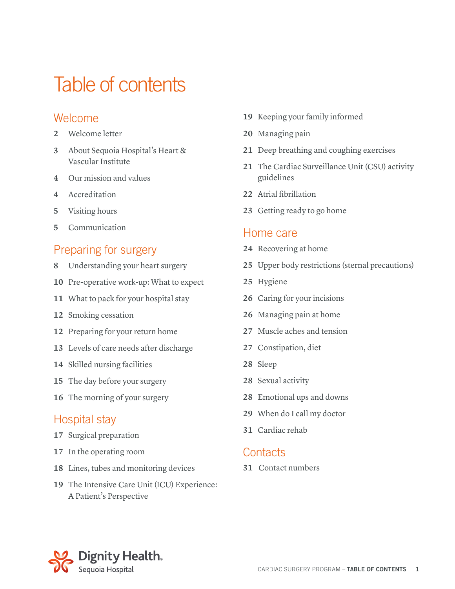### Table of contents

#### Welcome

- Welcome letter
- About Sequoia Hospital's Heart & Vascular Institute
- Our mission and values
- Accreditation
- Visiting hours
- Communication

#### Preparing for surgery

- Understanding your heart surgery
- Pre-operative work-up: What to expect
- What to pack for your hospital stay
- Smoking cessation
- Preparing for your return home
- Levels of care needs after discharge
- Skilled nursing facilities
- The day before your surgery
- The morning of your surgery

#### Hospital stay

- Surgical preparation
- In the operating room
- Lines, tubes and monitoring devices
- The Intensive Care Unit (ICU) Experience: A Patient's Perspective
- Keeping your family informed
- Managing pain
- Deep breathing and coughing exercises
- The Cardiac Surveillance Unit (CSU) activity guidelines
- Atrial fibrillation
- Getting ready to go home

#### Home care

- Recovering at home
- Upper body restrictions (sternal precautions)
- Hygiene
- Caring for your incisions
- Managing pain at home
- Muscle aches and tension
- Constipation, diet
- Sleep
- Sexual activity
- Emotional ups and downs
- When do I call my doctor
- Cardiac rehab

#### **Contacts**

Contact numbers

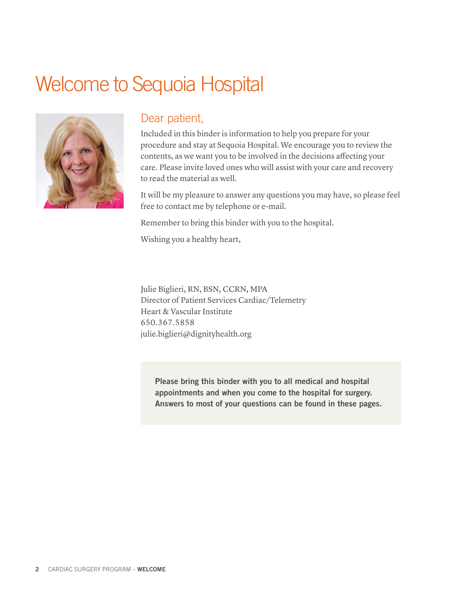### Welcome to Sequoia Hospital



#### Dear patient,

Included in this binder is information to help you prepare for your procedure and stay at Sequoia Hospital. We encourage you to review the contents, as we want you to be involved in the decisions affecting your care. Please invite loved ones who will assist with your care and recovery to read the material as well.

It will be my pleasure to answer any questions you may have, so please feel free to contact me by telephone or e-mail.

Remember to bring this binder with you to the hospital.

Wishing you a healthy heart,

Julie Biglieri, RN, BSN, CCRN, MPA Director of Patient Services Cardiac/Telemetry Heart & Vascular Institute 650.367.5858 julie.biglieri@dignityhealth.org

Please bring this binder with you to all medical and hospital appointments and when you come to the hospital for surgery. Answers to most of your questions can be found in these pages.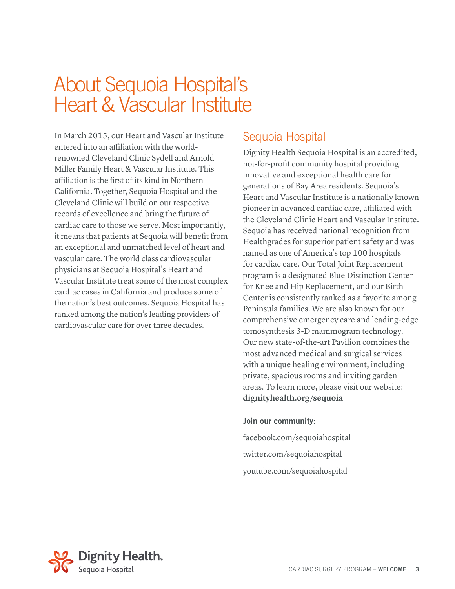### About Sequoia Hospital's **Heart & Vascular Institute**

In March 2015, our Heart and Vascular Institute entered into an affiliation with the worldrenowned Cleveland Clinic Sydell and Arnold Miller Family Heart & Vascular Institute. This affiliation is the first of its kind in Northern California. Together, Sequoia Hospital and the Cleveland Clinic will build on our respective records of excellence and bring the future of cardiac care to those we serve. Most importantly, it means that patients at Sequoia will benefit from an exceptional and unmatched level of heart and vascular care. The world class cardiovascular physicians at Sequoia Hospital's Heart and Vascular Institute treat some of the most complex cardiac cases in California and produce some of the nation's best outcomes. Sequoia Hospital has ranked among the nation's leading providers of cardiovascular care for over three decades.

#### Sequoia Hospital

Dignity Health Sequoia Hospital is an accredited, not-for-profit community hospital providing innovative and exceptional health care for generations of Bay Area residents. Sequoia's Heart and Vascular Institute is a nationally known pioneer in advanced cardiac care, affiliated with the Cleveland Clinic Heart and Vascular Institute. Sequoia has received national recognition from Healthgrades for superior patient safety and was named as one of America's top 100 hospitals for cardiac care. Our Total Joint Replacement program is a designated Blue Distinction Center for Knee and Hip Replacement, and our Birth Center is consistently ranked as a favorite among Peninsula families. We are also known for our comprehensive emergency care and leading-edge tomosynthesis 3-D mammogram technology. Our new state-of-the-art Pavilion combines the most advanced medical and surgical services with a unique healing environment, including private, spacious rooms and inviting garden areas. To learn more, please visit our website: **dignityhealth.org/sequoia**

#### Join our community:

facebook.com/sequoiahospital twitter.com/sequoiahospital youtube.com/sequoiahospital

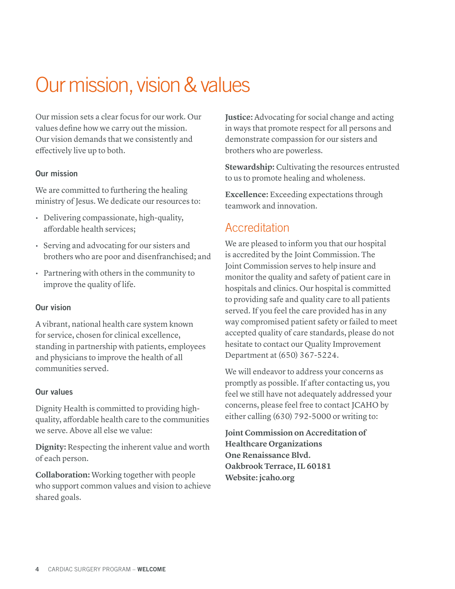# Our mission, vision & values

Our mission sets a clear focus for our work. Our values define how we carry out the mission. Our vision demands that we consistently and effectively live up to both.

#### Our mission

We are committed to furthering the healing ministry of Jesus. We dedicate our resources to:

- Delivering compassionate, high-quality, affordable health services;
- Serving and advocating for our sisters and brothers who are poor and disenfranchised; and
- Partnering with others in the community to improve the quality of life.

#### Our vision

A vibrant, national health care system known for service, chosen for clinical excellence, standing in partnership with patients, employees and physicians to improve the health of all communities served.

#### Our values

Dignity Health is committed to providing highquality, affordable health care to the communities we serve. Above all else we value:

**Dignity:** Respecting the inherent value and worth of each person.

**Collaboration:** Working together with people who support common values and vision to achieve shared goals.

**Justice:** Advocating for social change and acting in ways that promote respect for all persons and demonstrate compassion for our sisters and brothers who are powerless.

**Stewardship:** Cultivating the resources entrusted to us to promote healing and wholeness.

**Excellence:** Exceeding expectations through teamwork and innovation.

#### Accreditation

We are pleased to inform you that our hospital is accredited by the Joint Commission. The Joint Commission serves to help insure and monitor the quality and safety of patient care in hospitals and clinics. Our hospital is committed to providing safe and quality care to all patients served. If you feel the care provided has in any way compromised patient safety or failed to meet accepted quality of care standards, please do not hesitate to contact our Quality Improvement Department at (650) 367-5224.

We will endeavor to address your concerns as promptly as possible. If after contacting us, you feel we still have not adequately addressed your concerns, please feel free to contact JCAHO by either calling (630) 792-5000 or writing to:

**Joint Commission on Accreditation of Healthcare Organizations One Renaissance Blvd. Oakbrook Terrace, IL 60181 Website: jcaho.org**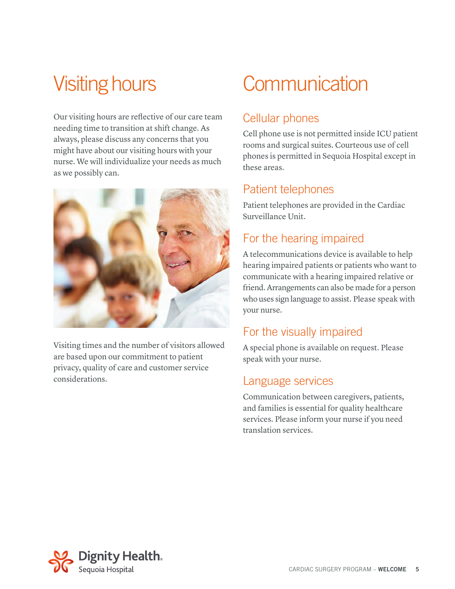Our visiting hours are reflective of our care team needing time to transition at shift change. As always, please discuss any concerns that you might have about our visiting hours with your nurse. We will individualize your needs as much as we possibly can.



Visiting times and the number of visitors allowed are based upon our commitment to patient privacy, quality of care and customer service considerations.

# Visiting hours Communication

#### Cellular phones

Cell phone use is not permitted inside ICU patient rooms and surgical suites. Courteous use of cell phones is permitted in Sequoia Hospital except in these areas.

#### Patient telephones

Patient telephones are provided in the Cardiac Surveillance Unit.

#### For the hearing impaired

A telecommunications device is available to help hearing impaired patients or patients who want to communicate with a hearing impaired relative or friend. Arrangements can also be made for a person who uses sign language to assist. Please speak with your nurse.

#### For the visually impaired

A special phone is available on request. Please speak with your nurse.

#### Language services

Communication between caregivers, patients, and families is essential for quality healthcare services. Please inform your nurse if you need translation services.

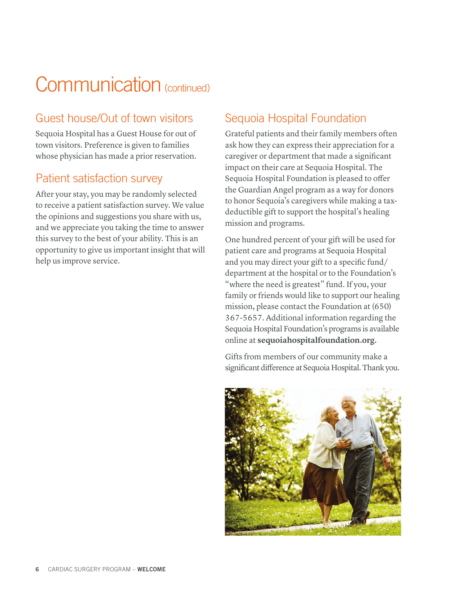### Communication (continued)

### Guest house/Out of town visitors

Sequoia Hospital has a Guest House for out of town visitors. Preference is given to families whose physician has made a prior reservation.

#### Patient satisfaction survey

After your stay, you may be randomly selected to receive a patient satisfaction survey. We value the opinions and suggestions you share with us, and we appreciate you taking the time to answer this survey to the best of your ability. This is an opportunity to give us important insight that will help us improve service.

#### Sequoia Hospital Foundation

Grateful patients and their family members often ask how they can express their appreciation for a caregiver or department that made a significant impact on their care at Sequoia Hospital. The Sequoia Hospital Foundation is pleased to offer the Guardian Angel program as a way for donors to honor Sequoia's caregivers while making a taxdeductible gift to support the hospital's healing mission and programs.

One hundred percent of your gift will be used for patient care and programs at Sequoia Hospital and you may direct your gift to a specific fund/ department at the hospital or to the Foundation's "where the need is greatest" fund. If you, your family or friends would like to support our healing mission, please contact the Foundation at (650) 367-5657. Additional information regarding the Sequoia Hospital Foundation's programs is available online at **sequoiahospitalfoundation.org.** 

Gifts from members of our community make a significant difference at Sequoia Hospital. Thank you.

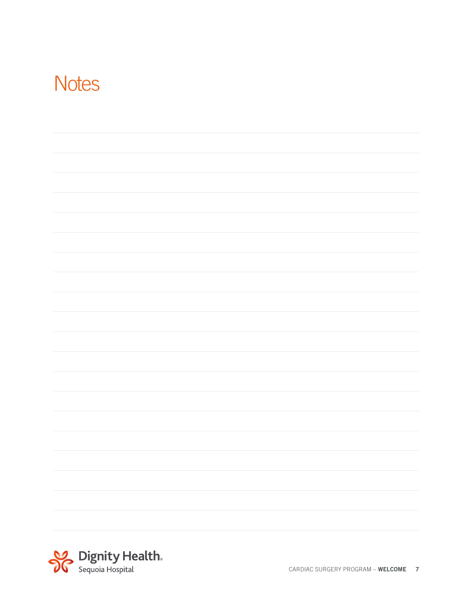### **Notes**

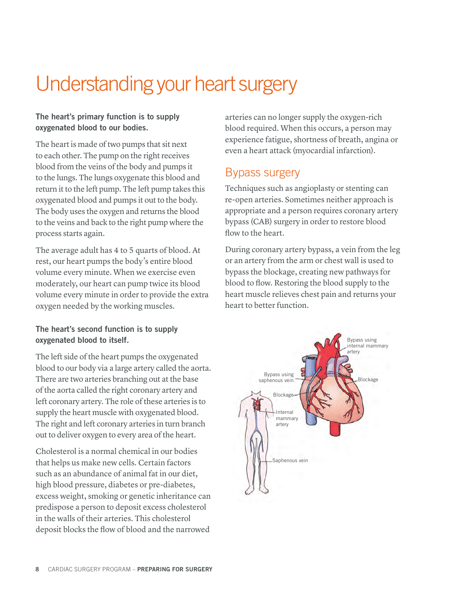# Understanding your heart surgery

#### The heart's primary function is to supply oxygenated blood to our bodies.

The heart is made of two pumps that sit next to each other. The pump on the right receives blood from the veins of the body and pumps it to the lungs. The lungs oxygenate this blood and return it to the left pump. The left pump takes this oxygenated blood and pumps it out to the body. The body uses the oxygen and returns the blood to the veins and back to the right pump where the process starts again.

The average adult has 4 to 5 quarts of blood. At rest, our heart pumps the body's entire blood volume every minute. When we exercise even moderately, our heart can pump twice its blood volume every minute in order to provide the extra oxygen needed by the working muscles.

#### The heart's second function is to supply oxygenated blood to itself.

The left side of the heart pumps the oxygenated blood to our body via a large artery called the aorta. There are two arteries branching out at the base of the aorta called the right coronary artery and left coronary artery. The role of these arteries is to supply the heart muscle with oxygenated blood. The right and left coronary arteries in turn branch out to deliver oxygen to every area of the heart.

Cholesterol is a normal chemical in our bodies that helps us make new cells. Certain factors such as an abundance of animal fat in our diet, high blood pressure, diabetes or pre-diabetes, excess weight, smoking or genetic inheritance can predispose a person to deposit excess cholesterol in the walls of their arteries. This cholesterol deposit blocks the flow of blood and the narrowed

arteries can no longer supply the oxygen-rich blood required. When this occurs, a person may experience fatigue, shortness of breath, angina or even a heart attack (myocardial infarction).

#### Bypass surgery

Techniques such as angioplasty or stenting can re-open arteries. Sometimes neither approach is appropriate and a person requires coronary artery bypass (CAB) surgery in order to restore blood flow to the heart.

During coronary artery bypass, a vein from the leg or an artery from the arm or chest wall is used to bypass the blockage, creating new pathways for blood to flow. Restoring the blood supply to the heart muscle relieves chest pain and returns your heart to better function.

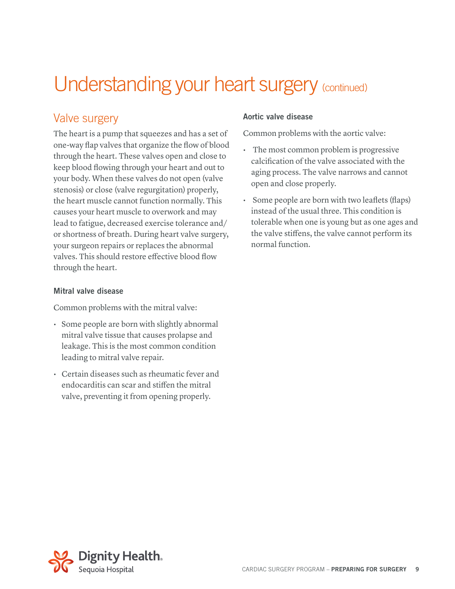### Understanding your heart surgery (continued)

#### Valve surgery

The heart is a pump that squeezes and has a set of one-way flap valves that organize the flow of blood through the heart. These valves open and close to keep blood flowing through your heart and out to your body. When these valves do not open (valve stenosis) or close (valve regurgitation) properly, the heart muscle cannot function normally. This causes your heart muscle to overwork and may lead to fatigue, decreased exercise tolerance and/ or shortness of breath. During heart valve surgery, your surgeon repairs or replaces the abnormal valves. This should restore effective blood flow through the heart.

#### Mitral valve disease

Common problems with the mitral valve:

- Some people are born with slightly abnormal mitral valve tissue that causes prolapse and leakage. This is the most common condition leading to mitral valve repair.
- Certain diseases such as rheumatic fever and endocarditis can scar and stiffen the mitral valve, preventing it from opening properly.

#### Aortic valve disease

Common problems with the aortic valve:

- The most common problem is progressive calcification of the valve associated with the aging process. The valve narrows and cannot open and close properly.
- Some people are born with two leaflets (flaps) instead of the usual three. This condition is tolerable when one is young but as one ages and the valve stiffens, the valve cannot perform its normal function.

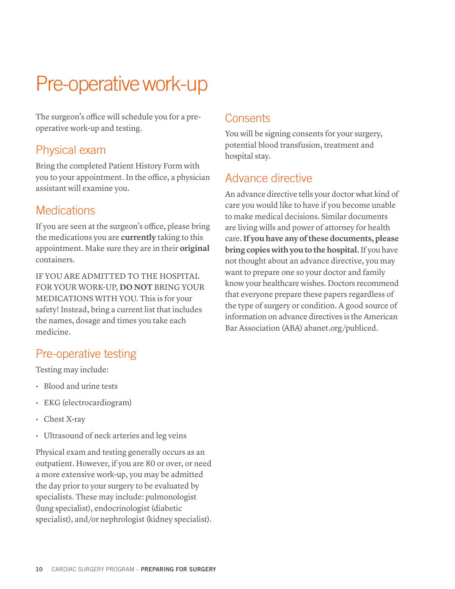# Pre-operative work-up

The surgeon's office will schedule you for a preoperative work-up and testing.

#### Physical exam

Bring the completed Patient History Form with you to your appointment. In the office, a physician assistant will examine you.

#### **Medications**

If you are seen at the surgeon's office, please bring the medications you are **currently** taking to this appointment. Make sure they are in their **original**  containers.

IF YOU ARE ADMITTED TO THE HOSPITAL FOR YOUR WORK-UP, **DO NOT** BRING YOUR MEDICATIONS WITH YOU. This is for your safety! Instead, bring a current list that includes the names, dosage and times you take each medicine.

### Pre-operative testing

Testing may include:

- Blood and urine tests
- EKG (electrocardiogram)
- Chest X-ray
- Ultrasound of neck arteries and leg veins

Physical exam and testing generally occurs as an outpatient. However, if you are 80 or over, or need a more extensive work-up, you may be admitted the day prior to your surgery to be evaluated by specialists. These may include: pulmonologist (lung specialist), endocrinologist (diabetic specialist), and/or nephrologist (kidney specialist).

#### **Consents**

You will be signing consents for your surgery, potential blood transfusion, treatment and hospital stay.

#### Advance directive

An advance directive tells your doctor what kind of care you would like to have if you become unable to make medical decisions. Similar documents are living wills and power of attorney for health care. **If you have any of these documents, please bring copies with you to the hospital.** If you have not thought about an advance directive, you may want to prepare one so your doctor and family know your healthcare wishes. Doctors recommend that everyone prepare these papers regardless of the type of surgery or condition. A good source of information on advance directives is the American Bar Association (ABA) abanet.org/publiced.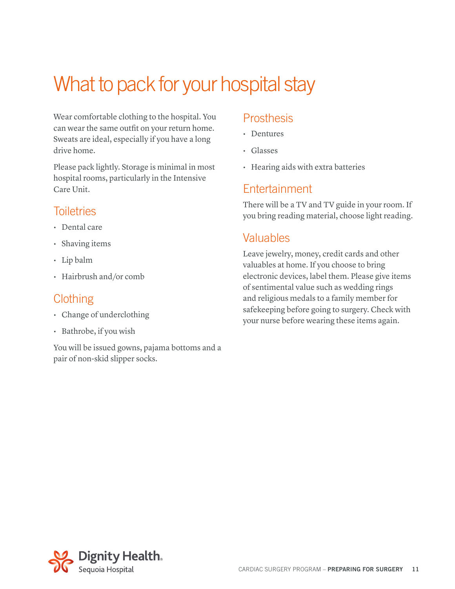# What to pack for your hospital stay

Wear comfortable clothing to the hospital. You can wear the same outfit on your return home. Sweats are ideal, especially if you have a long drive home.

Please pack lightly. Storage is minimal in most hospital rooms, particularly in the Intensive Care Unit.

#### **Toiletries**

- Dental care
- Shaving items
- Lip balm
- Hairbrush and/or comb

#### **Clothing**

- Change of underclothing
- Bathrobe, if you wish

You will be issued gowns, pajama bottoms and a pair of non-skid slipper socks.

#### **Prosthesis**

- Dentures
- Glasses
- Hearing aids with extra batteries

#### Entertainment

There will be a TV and TV guide in your room. If you bring reading material, choose light reading.

#### Valuables

Leave jewelry, money, credit cards and other valuables at home. If you choose to bring electronic devices, label them. Please give items of sentimental value such as wedding rings and religious medals to a family member for safekeeping before going to surgery. Check with your nurse before wearing these items again.

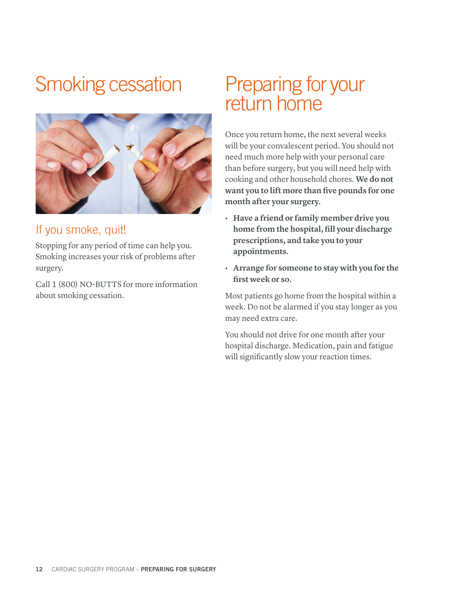### Smoking cessation



#### If you smoke, quit!

Stopping for any period of time can help you. Smoking increases your risk of problems after surgery.

Call 1 (800) NO-BUTTS for more information about smoking cessation.

### Preparing for your return home

Once you return home, the next several weeks will be your convalescent period. You should not need much more help with your personal care than before surgery, but you will need help with cooking and other household chores. **We do not want you to lift more than five pounds for one month after your surgery.** 

- **• Have a friend or family member drive you home from the hospital, fill your discharge prescriptions, and take you to your appointments.**
- **• Arrange for someone to stay with you for the first week or so.**

Most patients go home from the hospital within a week. Do not be alarmed if you stay longer as you may need extra care.

You should not drive for one month after your hospital discharge. Medication, pain and fatigue will significantly slow your reaction times.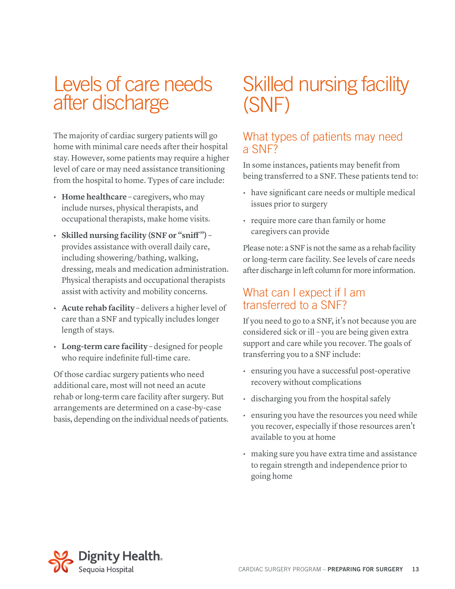### Levels of care needs after discharge

The majority of cardiac surgery patients will go home with minimal care needs after their hospital stay. However, some patients may require a higher level of care or may need assistance transitioning from the hospital to home. Types of care include:

- **• Home healthcare** caregivers, who may include nurses, physical therapists, and occupational therapists, make home visits.
- **• Skilled nursing facility (SNF or "sniff ")**  provides assistance with overall daily care, including showering/bathing, walking, dressing, meals and medication administration. Physical therapists and occupational therapists assist with activity and mobility concerns.
- **• Acute rehab facility** delivers a higher level of care than a SNF and typically includes longer length of stays.
- **• Long-term care facility** designed for people who require indefinite full-time care.

Of those cardiac surgery patients who need additional care, most will not need an acute rehab or long-term care facility after surgery. But arrangements are determined on a case-by-case basis, depending on the individual needs of patients.

### Skilled nursing facility (SNF)

#### What types of patients may need a SNF?

In some instances, patients may benefit from being transferred to a SNF. These patients tend to:

- have significant care needs or multiple medical issues prior to surgery
- require more care than family or home caregivers can provide

Please note: a SNF is not the same as a rehab facility or long-term care facility. See levels of care needs after discharge in left column for more information.

#### What can I expect if I am transferred to a SNF?

If you need to go to a SNF, it's not because you are considered sick or ill – you are being given extra support and care while you recover. The goals of transferring you to a SNF include:

- ensuring you have a successful post-operative recovery without complications
- discharging you from the hospital safely
- ensuring you have the resources you need while you recover, especially if those resources aren't available to you at home
- making sure you have extra time and assistance to regain strength and independence prior to going home

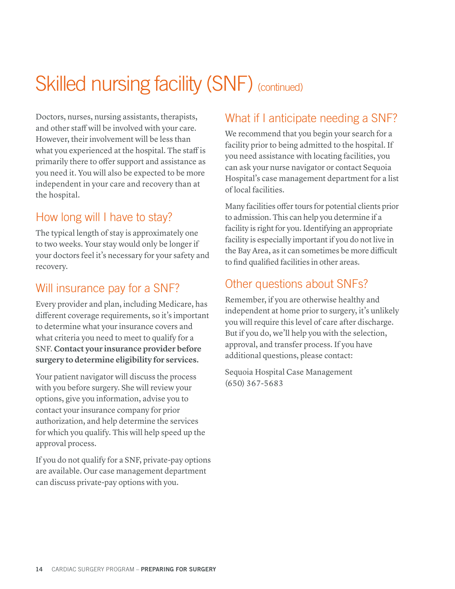# Skilled nursing facility (SNF) (continued)

Doctors, nurses, nursing assistants, therapists, and other staff will be involved with your care. However, their involvement will be less than what you experienced at the hospital. The staff is primarily there to offer support and assistance as you need it. You will also be expected to be more independent in your care and recovery than at the hospital.

### How long will I have to stay?

The typical length of stay is approximately one to two weeks. Your stay would only be longer if your doctors feel it's necessary for your safety and recovery.

### Will insurance pay for a SNF?

Every provider and plan, including Medicare, has different coverage requirements, so it's important to determine what your insurance covers and what criteria you need to meet to qualify for a SNF. **Contact your insurance provider before surgery to determine eligibility for services.** 

Your patient navigator will discuss the process with you before surgery. She will review your options, give you information, advise you to contact your insurance company for prior authorization, and help determine the services for which you qualify. This will help speed up the approval process.

If you do not qualify for a SNF, private-pay options are available. Our case management department can discuss private-pay options with you.

### What if I anticipate needing a SNF?

We recommend that you begin your search for a facility prior to being admitted to the hospital. If you need assistance with locating facilities, you can ask your nurse navigator or contact Sequoia Hospital's case management department for a list of local facilities.

Many facilities offer tours for potential clients prior to admission. This can help you determine if a facility is right for you. Identifying an appropriate facility is especially important if you do not live in the Bay Area, as it can sometimes be more difficult to find qualified facilities in other areas.

#### Other questions about SNFs?

Remember, if you are otherwise healthy and independent at home prior to surgery, it's unlikely you will require this level of care after discharge. But if you do, we'll help you with the selection, approval, and transfer process. If you have additional questions, please contact:

Sequoia Hospital Case Management (650) 367-5683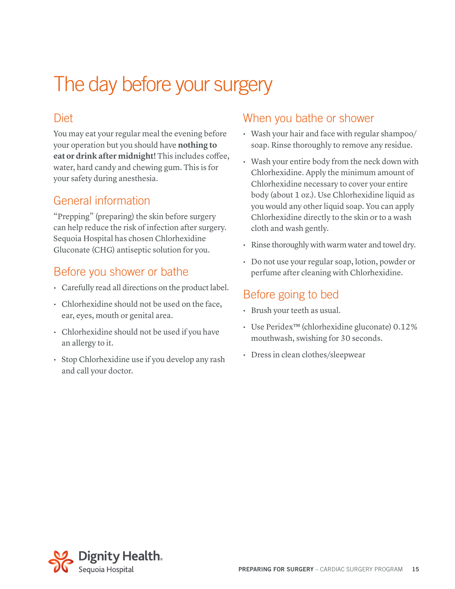### The day before your surgery

#### **Diet**

You may eat your regular meal the evening before your operation but you should have **nothing to eat or drink after midnight!** This includes coffee, water, hard candy and chewing gum. This is for your safety during anesthesia.

#### General information

"Prepping" (preparing) the skin before surgery can help reduce the risk of infection after surgery. Sequoia Hospital has chosen Chlorhexidine Gluconate (CHG) antiseptic solution for you.

#### Before you shower or bathe

- Carefully read all directions on the product label.
- Chlorhexidine should not be used on the face, ear, eyes, mouth or genital area.
- Chlorhexidine should not be used if you have an allergy to it.
- Stop Chlorhexidine use if you develop any rash and call your doctor.

#### When you bathe or shower

- Wash your hair and face with regular shampoo/ soap. Rinse thoroughly to remove any residue.
- Wash your entire body from the neck down with Chlorhexidine. Apply the minimum amount of Chlorhexidine necessary to cover your entire body (about 1 oz.). Use Chlorhexidine liquid as you would any other liquid soap. You can apply Chlorhexidine directly to the skin or to a wash cloth and wash gently.
- Rinse thoroughly with warm water and towel dry.
- Do not use your regular soap, lotion, powder or perfume after cleaning with Chlorhexidine.

#### Before going to bed

- Brush your teeth as usual.
- Use Peridex™ (chlorhexidine gluconate) 0.12% mouthwash, swishing for 30 seconds.
- Dress in clean clothes/sleepwear

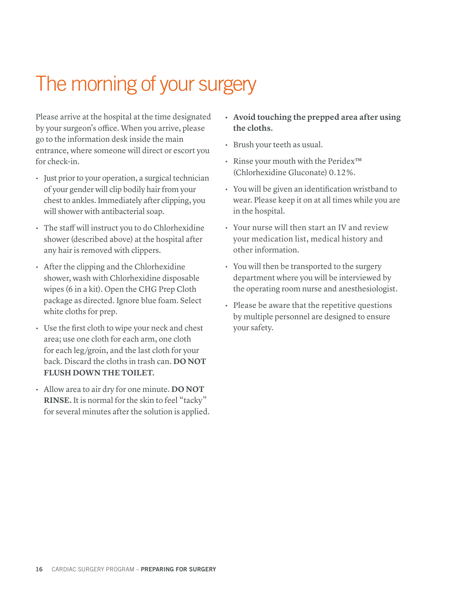### The morning of your surgery

Please arrive at the hospital at the time designated by your surgeon's office. When you arrive, please go to the information desk inside the main entrance, where someone will direct or escort you for check-in.

- Just prior to your operation, a surgical technician of your gender will clip bodily hair from your chest to ankles. Immediately after clipping, you will shower with antibacterial soap.
- The staff will instruct you to do Chlorhexidine shower (described above) at the hospital after any hair is removed with clippers.
- After the clipping and the Chlorhexidine shower, wash with Chlorhexidine disposable wipes (6 in a kit). Open the CHG Prep Cloth package as directed. Ignore blue foam. Select white cloths for prep.
- Use the first cloth to wipe your neck and chest area; use one cloth for each arm, one cloth for each leg/groin, and the last cloth for your back. Discard the cloths in trash can. **DO NOT FLUSH DOWN THE TOILET.**
- Allow area to air dry for one minute. **DO NOT RINSE.** It is normal for the skin to feel "tacky" for several minutes after the solution is applied.
- **• Avoid touching the prepped area after using the cloths.**
- Brush your teeth as usual.
- Rinse your mouth with the Peridex™ (Chlorhexidine Gluconate) 0.12%.
- You will be given an identification wristband to wear. Please keep it on at all times while you are in the hospital.
- Your nurse will then start an IV and review your medication list, medical history and other information.
- You will then be transported to the surgery department where you will be interviewed by the operating room nurse and anesthesiologist.
- Please be aware that the repetitive questions by multiple personnel are designed to ensure your safety.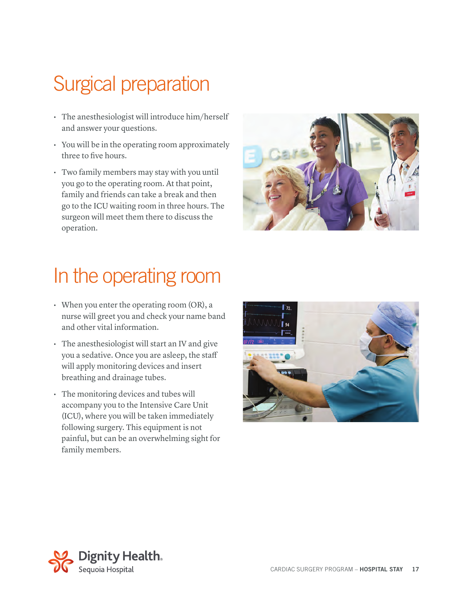# Surgical preparation

- The anesthesiologist will introduce him/herself and answer your questions.
- You will be in the operating room approximately three to five hours.
- Two family members may stay with you until you go to the operating room. At that point, family and friends can take a break and then go to the ICU waiting room in three hours. The surgeon will meet them there to discuss the operation.



### In the operating room

- When you enter the operating room (OR), a nurse will greet you and check your name band and other vital information.
- The anesthesiologist will start an IV and give you a sedative. Once you are asleep, the staff will apply monitoring devices and insert breathing and drainage tubes.
- The monitoring devices and tubes will accompany you to the Intensive Care Unit (ICU), where you will be taken immediately following surgery. This equipment is not painful, but can be an overwhelming sight for family members.



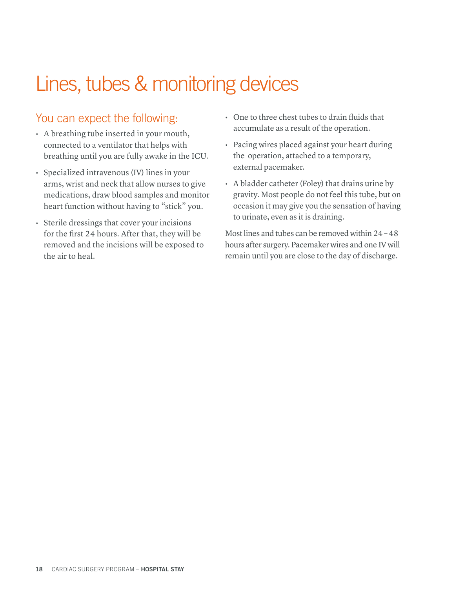### Lines, tubes & monitoring devices

#### You can expect the following:

- A breathing tube inserted in your mouth, connected to a ventilator that helps with breathing until you are fully awake in the ICU.
- Specialized intravenous (IV) lines in your arms, wrist and neck that allow nurses to give medications, draw blood samples and monitor heart function without having to "stick" you.
- Sterile dressings that cover your incisions for the first 24 hours. After that, they will be removed and the incisions will be exposed to the air to heal.
- One to three chest tubes to drain fluids that accumulate as a result of the operation.
- Pacing wires placed against your heart during the operation, attached to a temporary, external pacemaker.
- A bladder catheter (Foley) that drains urine by gravity. Most people do not feel this tube, but on occasion it may give you the sensation of having to urinate, even as it is draining.

Most lines and tubes can be removed within 24 – 48 hours after surgery. Pacemaker wires and one IV will remain until you are close to the day of discharge.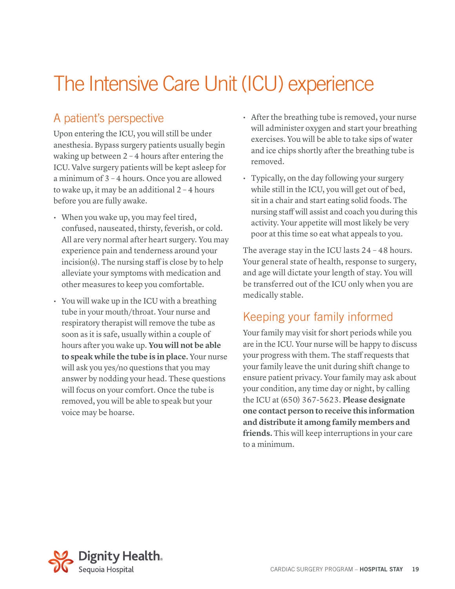# The Intensive Care Unit (ICU) experience

### A patient's perspective

Upon entering the ICU, you will still be under anesthesia. Bypass surgery patients usually begin waking up between 2 – 4 hours after entering the ICU. Valve surgery patients will be kept asleep for a minimum of 3 – 4 hours. Once you are allowed to wake up, it may be an additional 2 – 4 hours before you are fully awake.

- When you wake up, you may feel tired, confused, nauseated, thirsty, feverish, or cold. All are very normal after heart surgery. You may experience pain and tenderness around your incision(s). The nursing staff is close by to help alleviate your symptoms with medication and other measures to keep you comfortable.
- You will wake up in the ICU with a breathing tube in your mouth/throat. Your nurse and respiratory therapist will remove the tube as soon as it is safe, usually within a couple of hours after you wake up. **You will not be able to speak while the tube is in place.** Your nurse will ask you yes/no questions that you may answer by nodding your head. These questions will focus on your comfort. Once the tube is removed, you will be able to speak but your voice may be hoarse.
- After the breathing tube is removed, your nurse will administer oxygen and start your breathing exercises. You will be able to take sips of water and ice chips shortly after the breathing tube is removed.
- Typically, on the day following your surgery while still in the ICU, you will get out of bed, sit in a chair and start eating solid foods. The nursing staff will assist and coach you during this activity. Your appetite will most likely be very poor at this time so eat what appeals to you.

The average stay in the ICU lasts 24 – 48 hours. Your general state of health, response to surgery, and age will dictate your length of stay. You will be transferred out of the ICU only when you are medically stable.

### Keeping your family informed

Your family may visit for short periods while you are in the ICU. Your nurse will be happy to discuss your progress with them. The staff requests that your family leave the unit during shift change to ensure patient privacy. Your family may ask about your condition, any time day or night, by calling the ICU at (650) 367-5623. **Please designate one contact person to receive this information and distribute it among family members and friends.** This will keep interruptions in your care to a minimum.

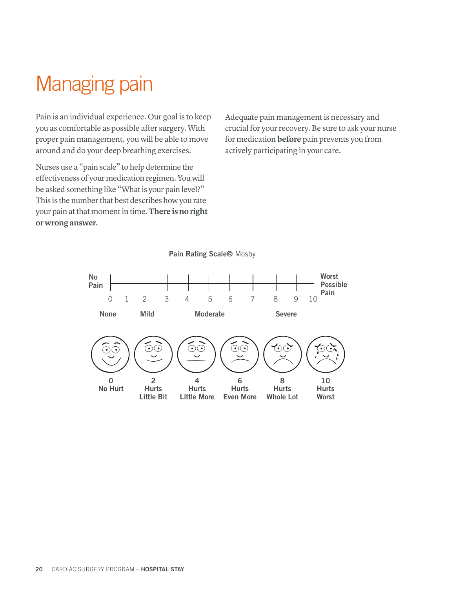### Managing pain

Pain is an individual experience. Our goal is to keep you as comfortable as possible after surgery. With proper pain management, you will be able to move around and do your deep breathing exercises.

Nurses use a "pain scale" to help determine the effectiveness of your medication regimen. You will be asked something like "What is your pain level?" This is the number that best describes how you rate your pain at that moment in time. **There is no right or wrong answer.**

Adequate pain management is necessary and crucial for your recovery. Be sure to ask your nurse for medication **before** pain prevents you from actively participating in your care.



Pain Rating Scale© Mosby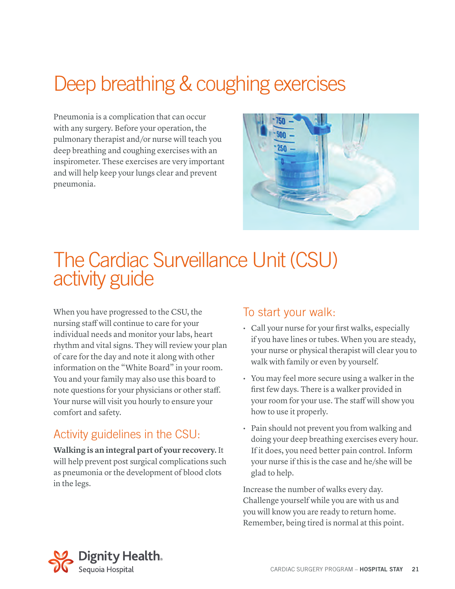### Deep breathing & coughing exercises

Pneumonia is a complication that can occur with any surgery. Before your operation, the pulmonary therapist and/or nurse will teach you deep breathing and coughing exercises with an inspirometer. These exercises are very important and will help keep your lungs clear and prevent pneumonia.



### The Cardiac Surveillance Unit (CSU) activity guide

When you have progressed to the CSU, the nursing staff will continue to care for your individual needs and monitor your labs, heart rhythm and vital signs. They will review your plan of care for the day and note it along with other information on the "White Board" in your room. You and your family may also use this board to note questions for your physicians or other staff. Your nurse will visit you hourly to ensure your comfort and safety.

### Activity guidelines in the CSU:

**Walking is an integral part of your recovery.** It will help prevent post surgical complications such as pneumonia or the development of blood clots in the legs.

#### To start your walk:

- Call your nurse for your first walks, especially if you have lines or tubes. When you are steady, your nurse or physical therapist will clear you to walk with family or even by yourself.
- You may feel more secure using a walker in the first few days. There is a walker provided in your room for your use. The staff will show you how to use it properly.
- Pain should not prevent you from walking and doing your deep breathing exercises every hour. If it does, you need better pain control. Inform your nurse if this is the case and he/she will be glad to help.

Increase the number of walks every day. Challenge yourself while you are with us and you will know you are ready to return home. Remember, being tired is normal at this point.

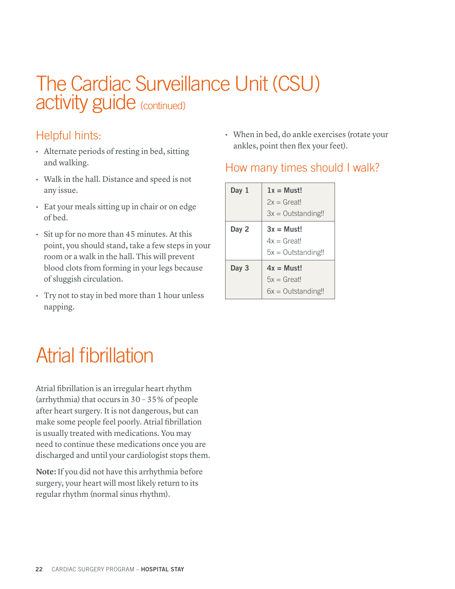### The Cardiac Surveillance Unit (CSU) activity guide (continued)

### Helpful hints:

- Alternate periods of resting in bed, sitting and walking.
- Walk in the hall. Distance and speed is not any issue.
- Eat your meals sitting up in chair or on edge of bed.
- Sit up for no more than 45 minutes. At this point, you should stand, take a few steps in your room or a walk in the hall. This will prevent blood clots from forming in your legs because of sluggish circulation.
- Try not to stay in bed more than 1 hour unless napping.

• When in bed, do ankle exercises (rotate your ankles, point then flex your feet).

### How many times should I walk?

| Day 1 | $1x = Must!$<br>$2x = Great!$<br>$3x =$ Outstanding!! |
|-------|-------------------------------------------------------|
| Day 2 | $3x = Must!$<br>$4x = Great!$<br>$5x =$ Outstanding!! |
| Day 3 | $4x = Must!$<br>$5x = Great!$<br>$6x =$ Outstanding!! |

# Atrial fibrillation

Atrial fibrillation is an irregular heart rhythm (arrhythmia) that occurs in 30 – 35% of people after heart surgery. It is not dangerous, but can make some people feel poorly. Atrial fibrillation is usually treated with medications. You may need to continue these medications once you are discharged and until your cardiologist stops them.

**Note:** If you did not have this arrhythmia before surgery, your heart will most likely return to its regular rhythm (normal sinus rhythm).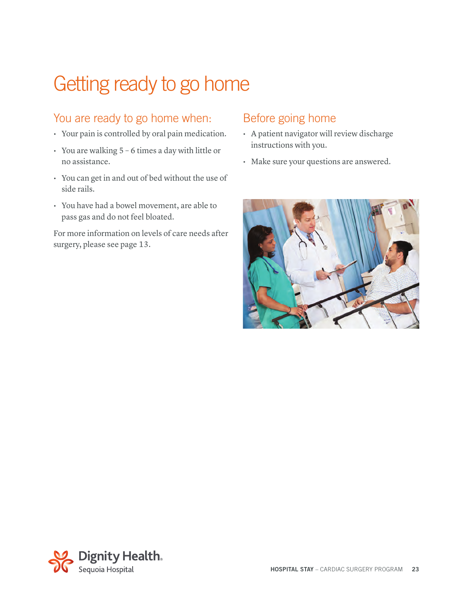# Getting ready to go home

#### You are ready to go home when:

- Your pain is controlled by oral pain medication.
- You are walking 5 6 times a day with little or no assistance.
- You can get in and out of bed without the use of side rails.
- You have had a bowel movement, are able to pass gas and do not feel bloated.

For more information on levels of care needs after surgery, please see page 13.

#### Before going home

- A patient navigator will review discharge instructions with you.
- Make sure your questions are answered.



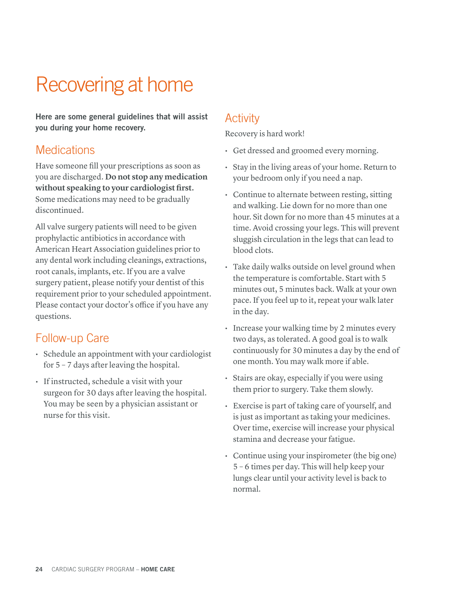# Recovering at home

Here are some general guidelines that will assist you during your home recovery.

#### **Medications**

Have someone fill your prescriptions as soon as you are discharged. **Do not stop any medication without speaking to your cardiologist first.**  Some medications may need to be gradually discontinued.

All valve surgery patients will need to be given prophylactic antibiotics in accordance with American Heart Association guidelines prior to any dental work including cleanings, extractions, root canals, implants, etc. If you are a valve surgery patient, please notify your dentist of this requirement prior to your scheduled appointment. Please contact your doctor's office if you have any questions.

#### Follow-up Care

- Schedule an appointment with your cardiologist for 5 – 7 days after leaving the hospital.
- If instructed, schedule a visit with your surgeon for 30 days after leaving the hospital. You may be seen by a physician assistant or nurse for this visit.

#### **Activity**

Recovery is hard work!

- Get dressed and groomed every morning.
- Stay in the living areas of your home. Return to your bedroom only if you need a nap.
- Continue to alternate between resting, sitting and walking. Lie down for no more than one hour. Sit down for no more than 45 minutes at a time. Avoid crossing your legs. This will prevent sluggish circulation in the legs that can lead to blood clots.
- Take daily walks outside on level ground when the temperature is comfortable. Start with 5 minutes out, 5 minutes back. Walk at your own pace. If you feel up to it, repeat your walk later in the day.
- Increase your walking time by 2 minutes every two days, as tolerated. A good goal is to walk continuously for 30 minutes a day by the end of one month. You may walk more if able.
- Stairs are okay, especially if you were using them prior to surgery. Take them slowly.
- Exercise is part of taking care of yourself, and is just as important as taking your medicines. Over time, exercise will increase your physical stamina and decrease your fatigue.
- Continue using your inspirometer (the big one) 5 – 6 times per day. This will help keep your lungs clear until your activity level is back to normal.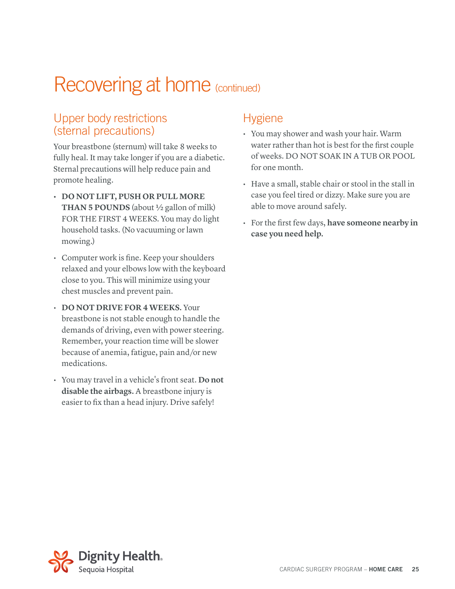#### Upper body restrictions (sternal precautions)

Your breastbone (sternum) will take 8 weeks to fully heal. It may take longer if you are a diabetic. Sternal precautions will help reduce pain and promote healing.

- **• DO NOT LIFT, PUSH OR PULL MORE THAN 5 POUNDS** (about ½ gallon of milk) FOR THE FIRST 4 WEEKS. You may do light household tasks. (No vacuuming or lawn mowing.)
- Computer work is fine. Keep your shoulders relaxed and your elbows low with the keyboard close to you. This will minimize using your chest muscles and prevent pain.
- **DO NOT DRIVE FOR 4 WEEKS.** Your breastbone is not stable enough to handle the demands of driving, even with power steering. Remember, your reaction time will be slower because of anemia, fatigue, pain and/or new medications.
- You may travel in a vehicle's front seat. **Do not disable the airbags.** A breastbone injury is easier to fix than a head injury. Drive safely!

#### **Hygiene**

- You may shower and wash your hair. Warm water rather than hot is best for the first couple of weeks. DO NOT SOAK IN A TUB OR POOL for one month.
- Have a small, stable chair or stool in the stall in case you feel tired or dizzy. Make sure you are able to move around safely.
- For the first few days, **have someone nearby in case you need help.**

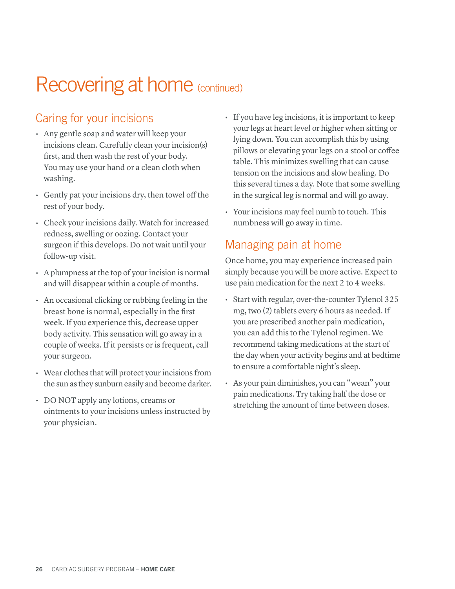### Caring for your incisions

- Any gentle soap and water will keep your incisions clean. Carefully clean your incision(s) first, and then wash the rest of your body. You may use your hand or a clean cloth when washing.
- Gently pat your incisions dry, then towel off the rest of your body.
- Check your incisions daily. Watch for increased redness, swelling or oozing. Contact your surgeon if this develops. Do not wait until your follow-up visit.
- A plumpness at the top of your incision is normal and will disappear within a couple of months.
- An occasional clicking or rubbing feeling in the breast bone is normal, especially in the first week. If you experience this, decrease upper body activity. This sensation will go away in a couple of weeks. If it persists or is frequent, call your surgeon.
- Wear clothes that will protect your incisions from the sun as they sunburn easily and become darker.
- DO NOT apply any lotions, creams or ointments to your incisions unless instructed by your physician.
- If you have leg incisions, it is important to keep your legs at heart level or higher when sitting or lying down. You can accomplish this by using pillows or elevating your legs on a stool or coffee table. This minimizes swelling that can cause tension on the incisions and slow healing. Do this several times a day. Note that some swelling in the surgical leg is normal and will go away.
- Your incisions may feel numb to touch. This numbness will go away in time.

#### Managing pain at home

Once home, you may experience increased pain simply because you will be more active. Expect to use pain medication for the next 2 to 4 weeks.

- Start with regular, over-the-counter Tylenol 325 mg, two (2) tablets every 6 hours as needed. If you are prescribed another pain medication, you can add this to the Tylenol regimen. We recommend taking medications at the start of the day when your activity begins and at bedtime to ensure a comfortable night's sleep.
- As your pain diminishes, you can "wean" your pain medications. Try taking half the dose or stretching the amount of time between doses.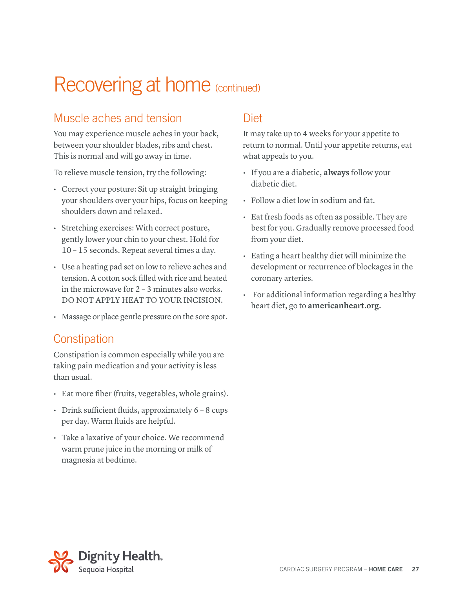#### Muscle aches and tension

You may experience muscle aches in your back, between your shoulder blades, ribs and chest. This is normal and will go away in time.

To relieve muscle tension, try the following:

- Correct your posture: Sit up straight bringing your shoulders over your hips, focus on keeping shoulders down and relaxed.
- Stretching exercises: With correct posture, gently lower your chin to your chest. Hold for 10 – 15 seconds. Repeat several times a day.
- Use a heating pad set on low to relieve aches and tension. A cotton sock filled with rice and heated in the microwave for 2 – 3 minutes also works. DO NOT APPLY HEAT TO YOUR INCISION.
- Massage or place gentle pressure on the sore spot.

#### **Constipation**

Constipation is common especially while you are taking pain medication and your activity is less than usual.

- Eat more fiber (fruits, vegetables, whole grains).
- Drink sufficient fluids, approximately 6 8 cups per day. Warm fluids are helpful.
- Take a laxative of your choice. We recommend warm prune juice in the morning or milk of magnesia at bedtime.

#### Diet

It may take up to 4 weeks for your appetite to return to normal. Until your appetite returns, eat what appeals to you.

- If you are a diabetic, **always** follow your diabetic diet.
- Follow a diet low in sodium and fat.
- Eat fresh foods as often as possible. They are best for you. Gradually remove processed food from your diet.
- Eating a heart healthy diet will minimize the development or recurrence of blockages in the coronary arteries.
- For additional information regarding a healthy heart diet, go to **americanheart.org.**

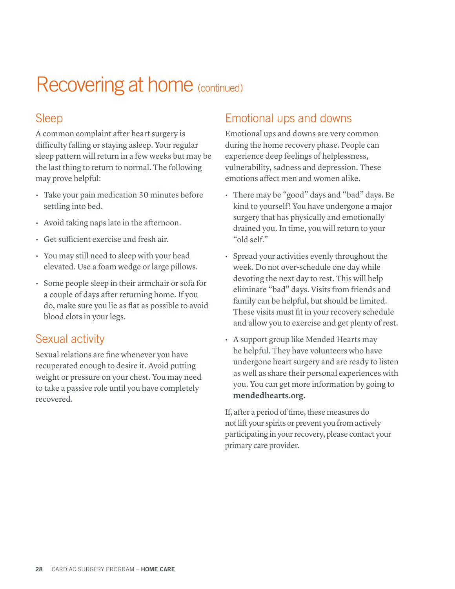#### Sleep

A common complaint after heart surgery is difficulty falling or staying asleep. Your regular sleep pattern will return in a few weeks but may be the last thing to return to normal. The following may prove helpful:

- Take your pain medication 30 minutes before settling into bed.
- Avoid taking naps late in the afternoon.
- Get sufficient exercise and fresh air.
- You may still need to sleep with your head elevated. Use a foam wedge or large pillows.
- Some people sleep in their armchair or sofa for a couple of days after returning home. If you do, make sure you lie as flat as possible to avoid blood clots in your legs.

#### Sexual activity

Sexual relations are fine whenever you have recuperated enough to desire it. Avoid putting weight or pressure on your chest. You may need to take a passive role until you have completely recovered.

#### Emotional ups and downs

Emotional ups and downs are very common during the home recovery phase. People can experience deep feelings of helplessness, vulnerability, sadness and depression. These emotions affect men and women alike.

- There may be "good" days and "bad" days. Be kind to yourself! You have undergone a major surgery that has physically and emotionally drained you. In time, you will return to your "old self."
- Spread your activities evenly throughout the week. Do not over-schedule one day while devoting the next day to rest. This will help eliminate "bad" days. Visits from friends and family can be helpful, but should be limited. These visits must fit in your recovery schedule and allow you to exercise and get plenty of rest.
- A support group like Mended Hearts may be helpful. They have volunteers who have undergone heart surgery and are ready to listen as well as share their personal experiences with you. You can get more information by going to **mendedhearts.org.**

If, after a period of time, these measures do not lift your spirits or prevent you from actively participating in your recovery, please contact your primary care provider.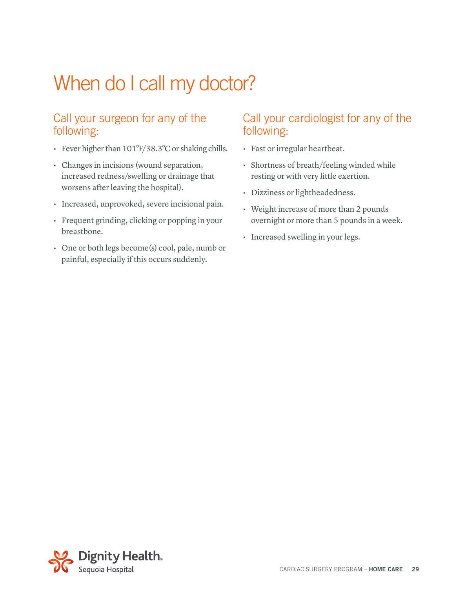# When do I call my doctor?

#### Call your surgeon for any of the following:

- Fever higher than 101°F/38.3°C or shaking chills.
- Changes in incisions (wound separation, increased redness/swelling or drainage that worsens after leaving the hospital).
- Increased, unprovoked, severe incisional pain.
- Frequent grinding, clicking or popping in your breastbone.
- One or both legs become(s) cool, pale, numb or painful, especially if this occurs suddenly.

#### Call your cardiologist for any of the following:

- Fast or irregular heartbeat.
- Shortness of breath/feeling winded while resting or with very little exertion.
- Dizziness or lightheadedness.
- Weight increase of more than 2 pounds overnight or more than 5 pounds in a week.
- Increased swelling in your legs.

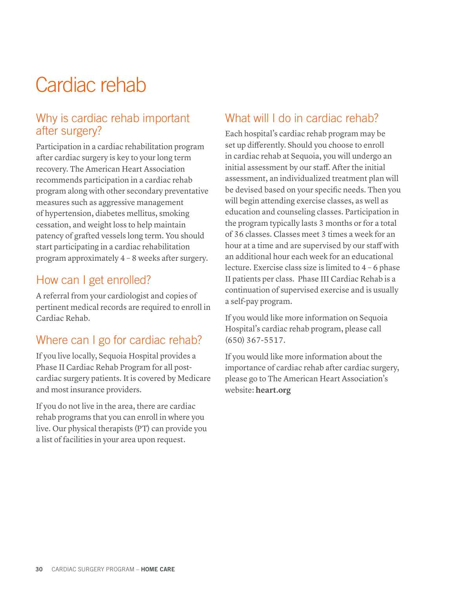### Cardiac rehab

#### Why is cardiac rehab important after surgery?

Participation in a cardiac rehabilitation program after cardiac surgery is key to your long term recovery. The American Heart Association recommends participation in a cardiac rehab program along with other secondary preventative measures such as aggressive management of hypertension, diabetes mellitus, smoking cessation, and weight loss to help maintain patency of grafted vessels long term. You should start participating in a cardiac rehabilitation program approximately 4 – 8 weeks after surgery.

#### How can I get enrolled?

A referral from your cardiologist and copies of pertinent medical records are required to enroll in Cardiac Rehab.

#### Where can I go for cardiac rehab?

If you live locally, Sequoia Hospital provides a Phase II Cardiac Rehab Program for all postcardiac surgery patients. It is covered by Medicare and most insurance providers.

If you do not live in the area, there are cardiac rehab programs that you can enroll in where you live. Our physical therapists (PT) can provide you a list of facilities in your area upon request.

#### What will I do in cardiac rehab?

Each hospital's cardiac rehab program may be set up differently. Should you choose to enroll in cardiac rehab at Sequoia, you will undergo an initial assessment by our staff. After the initial assessment, an individualized treatment plan will be devised based on your specific needs. Then you will begin attending exercise classes, as well as education and counseling classes. Participation in the program typically lasts 3 months or for a total of 36 classes. Classes meet 3 times a week for an hour at a time and are supervised by our staff with an additional hour each week for an educational lecture. Exercise class size is limited to 4 – 6 phase II patients per class. Phase III Cardiac Rehab is a continuation of supervised exercise and is usually a self-pay program.

If you would like more information on Sequoia Hospital's cardiac rehab program, please call (650) 367-5517.

If you would like more information about the importance of cardiac rehab after cardiac surgery, please go to The American Heart Association's website: **heart.org**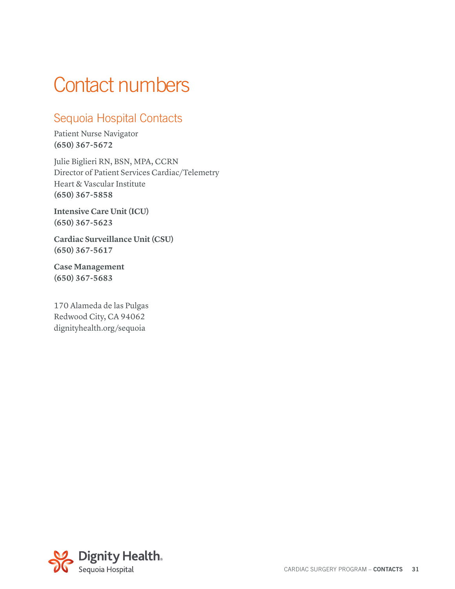### Contact numbers

### Sequoia Hospital Contacts

Patient Nurse Navigator **(650) 367-5672**

Julie Biglieri RN, BSN, MPA, CCRN Director of Patient Services Cardiac/Telemetry Heart & Vascular Institute **(650) 367-5858**

**Intensive Care Unit (ICU) (650) 367-5623**

**Cardiac Surveillance Unit (CSU) (650) 367-5617**

**Case Management (650) 367-5683**

170 Alameda de las Pulgas Redwood City, CA 94062 dignityhealth.org/sequoia